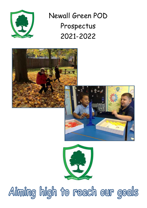

Newall Green POD Prospectus 2021-2022



Aiming high to reach our goals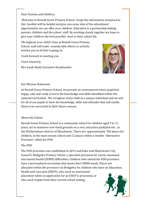Dear Parents and Children,

Welcome to Newall Green Primary School. I hope the information contained in this booklet will be helpful and give you some idea of the educational opportunities we can offer your children. Education is a partnership linking parents, children and the school staff. By working closely together we hope to give your children the best possible start to their school life.

Throughout your child's time at Newall Green Primary School, staff will make considerable efforts to actively involve you in all that is going on.

I look forward to meeting you.

Yours sincerely,

Mrs Sarah Rudd, Executive Headteacher.



#### Our Mission Statement

At Newall Green Primary School, we provide an environment where pupil feel happy, safe and ready to learn the knowledge and skills identified within the national curriculum. We recognise every child as a unique individual and we aim for all of our pupils to have the knowledge, skills and attitudes that will enable them to be successful in their future careers.

#### About the School.

Newall Green Primary School is a community school for children aged 3 to 11 years, set in extensive tree-lined grounds on a very attractive parkland site , in the Wythenshawe district of Manchester. There are approximately 700 places for children, in the main stream school and 12 places within a smaller 'Alternative Provision' called the POD .

#### The POD

The POD provision was established in 2019 and links with Manchester City Council's Bridgelea Primary School, a specialist provision for social, emotional and mental health (SEMH) difficulties. Children who attend the POD provision have a personalised curriculum that meets their SEMH needs. Places are allocated within the provision via Bridgelea for children who have an Education, Health and Care plan (EHCP), who need an assessment placement while an application for an EHCP is processed, or who need respite from their current school setting.

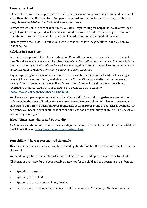## **Parents in school**

All parents are given the opportunity to visit school, see a working day in operation and meet staff, when their child is offered a place. Any parent or guardian wishing to visit the school for the first time, please ring 0161 437 2872 to make an appointment.

Parents are welcome in school at all times. We are always looking for help in school in a variety of ways. If you have any special skills, which we could use for the children's benefit, please do not hesitate to tell us. Help on school trips etc. will be asked for on each individual occasion.

Currently with the Covid 19 restrictions we ask that you follow the guidelines in the Visitors to School policy.

## **Holidays in Term Time**

In order to comply with Manchester Education Committee's policy on leave of absence during term time Newall Green Primary School advises: *School considers all requests for leave of absence in term time very seriously and will only authorise leave in exceptional circumstances. Parents do not have an automatic right to remove their child from school during term time.* 

Anyone applying for a leave of absence must send a written request to the Headteacher using a Leave of Absence request form, available from the School Office or website, before the leave is arranged. Retrospective requests will not be considered and will result in the absence being recorded as unauthorised. Full policy details are available on our website. [www.newallgreen.manchester.sch.uk/policies](http://www.newallgreen.manchester.sch.uk/policies)

You have a vital part to play in the education of your child. By working together we can help your child to make the most of his/her time at Newall Green Primary School. We also encourage you to take part in our Parent Education Programme. This exciting programme of activities is available for everyone. You become part of our school community as soon as you put your child's name down on our nursery waiting list.

# **School Times, Attendance and Punctuality**

An Annual Calendar of individual events, holidays etc. is published each year. Copies are available at the School Office or [http://newallgreen.manchester.sch.uk](http://newallgreen.manchester.sch.uk/our-school/term-dates/)

# **Your child will have a personalised timetable**

This means that their attendance will be decided by the staff within the provision to meet the needs of the child.

Your child might have a timetable which is a full day 9.15am until 2pm or a part-time timetable.

All decisions are made for the best possible outcomes for the child and are decisions are informed by;

- Speaking to parents
- Speaking to the child
- Speaking to the previous school / teacher
- Professional involvement from educational Psychologists, Therapists, CAMHs workers etc.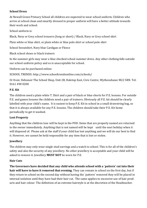## **School Dress**

At Newall Green Primary School all children are expected to wear school uniform. Children who arrive at school clean and smartly dressed in proper uniform will have a better attitude towards their work and school.

School uniform is:

Black, Navy or Grey school trousers (long or short) / Black, Navy or Grey school skirt

Plain white or blue shirt, or plain white or blue polo shirt or school polo shirt

School Sweatshirt, Navy blue Cardigan or Fleece

Black school shoes or black trainers

In the summer girls may wear a blue checked school summer dress. Any other clothing falls outside our school uniform policy and so is unacceptable for school.

Uniform can be purchased online:

SCHOOL TRENDS: http://www.schooltrendsonline.com/schools/

Or from: Debonair The School Shop, Unit 2B, Haletop East, Civic Centre, Wythenshawe M22 5RN. Tel: 0161 498 0200

# **P.E. Kit**

The children need a plain white T. Shirt and a pair of black or blue shorts for P.E. lessons. For outside P.E. and games lessons the children need a pair of trainers. Obviously all P.E. kit should be clearly labelled with your child's name. It is easiest to keep P.E. Kit in school in a small drawstring bag, so that it is always available for any P.E. lessons. The children should take their P.E. Kit home periodically to get it washed.

# **Lost Property**

Anything that the children lose will be kept in the POD. Items that are properly named are returned to the owner immediately. Anything that is not named will be kept until the next holiday when it will disposed of. Please ask at the staff if your child has lost anything and we will do our best to find it. However, we cannot be held responsible for any item that is lost or stolen.

# **Jewellery**

The children may only wear single stud earrings and a watch to school. This is for all of the children's safety and also the security of any jewellery. No other jewellery is acceptable and your child will be asked to remove it. Jewellery **MUST NOT** be worn for P.E.

# **Hair Cuts**

**The Governors have decided that any child who attends school with a `pattern' cut into their hair will have to have it removed that evening.** They can remain in school on the first day, but if they return to school on the second day without having the `pattern' removed they will be placed in internal isolation until they have had their hair cut. The same applies to excessive use of hair products and hair colour. The definition of an extreme hairstyle is at the discretion of the Headteacher.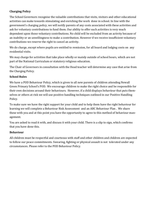# **Charging Policy**

The School Governors recognise the valuable contributions that visits, visitors and other educational activities can make towards stimulating and enriching the work done in school. In line with the government's charging policy, we will notify parents of any costs associated with these activities and ask for voluntary contributions to fund them. Our ability to offer such activities is very much dependent upon those voluntary contributions. No child will be excluded from an activity because of an inability or an unwillingness to make a contribution. However if we receive insufficient voluntary contributions we reserve the right to cancel an activity.

We do charge, except where pupils are entitled to remission, for all board and lodging costs on any residential visits.

We may charge for activities that take place wholly or mainly outside of school hours, which are not part of the National Curriculum or statutory religious education.

The Chair of Governors in consultation with the Head teacher will determine any case that arise from the Charging Policy.

## **School Rules**

We have a POD Behaviour Policy, which is given to all new parents of children attending Newall Green Primary School's POD. We encourage children to make the right choice and be responsible for their own decisions around their behaviours. However, if a child displays behaviour that puts themselves or others at risk we will use positive handling techniques outlined in our Positive Handling Policy.

To make sure we have the right support for your child and to help them have the right behaviour for learning we will complete a Behaviour Risk Assessment and an ABC Behaviour Plan . We share these with you and at this point you have the opportunity to agree to this method of behaviour management.

You are asked to read it with, and discuss it with your child. There is a slip to sign, which confirms that you have done this.

# **Behaviour**

All children must be respectful and courteous with staff and other children and children are expected to follow our peace commitments. Swearing, fighting or physical assault is not tolerated under any circumstances. Please refer to the POD Behaviour Policy.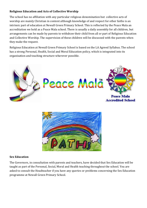## **Religious Education and Acts of Collective Worship**

The school has no affiliation with any particular religious denomination but collective acts of worship are mainly Christian in content although knowledge of and respect for other faiths is an intrinsic part of education at Newall Green Primary School. This is reflected by the Peace Mala an accreditation we hold as a Peace Mala school. There is usually a daily assembly for all children, but arrangements can be made by parents to withdraw their child from all or part of Religious Education and Collective Worship. The supervision of these children will be discussed with the parents when they make the request.

Religious Education at Newall Green Primary School is based on the LA Agreed Syllabus. The school has a strong Personal, Health, Social and Moral Education policy, which is integrated into its organisation and teaching structure wherever possible.





#### **Sex Education**

The Governors, in consultation with parents and teachers, have decided that Sex Education will be taught as part of the Personal, Social, Moral and Health teaching throughout the school. You are asked to consult the Headteacher if you have any queries or problems concerning the Sex Education programme at Newall Green Primary School.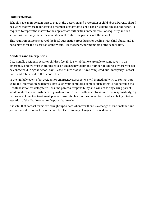## **Child Protection**

Schools have an important part to play in the detection and protection of child abuse. Parents should be aware that where it appears to a member of staff that a child has or is being abused, the school is required to report the matter to the appropriate authorities immediately. Consequently, in such situations it is likely that a social worker will contact the parents, not the school.

This requirement forms part of the local authorities procedures for dealing with child abuse, and is not a matter for the discretion of individual Headteachers, nor members of the school staff.

#### **Accidents and Emergencies**

Occasionally accidents occur or children feel ill. It is vital that we are able to contact you in an emergency and we must therefore have an emergency telephone number or address where you can be contacted during the school day. Please ensure that you have completed our Emergency Contact Form and returned it to the School Office.

In the unlikely event of an accident or emergency at school we will immediately try to contact you using the information, which you give us on your completed contact form. If this is not possible the Headteacher or his delegate will assume parental responsibility and will act as any caring parent would under the circumstances. If you do not wish the Headteacher to assume this responsibility, e.g. in the case of medical treatment, please make this clear on the contact form and also bring it to the attention of the Headteacher or Deputy Headteacher.

It is vital that contact forms are brought up to date whenever there is a change of circumstance and you are asked to contact us immediately if there are any changes to these details.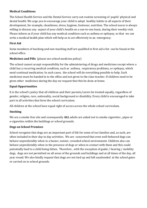## **Medical Conditions**

The School Health Service and the Dental Service carry out routine screening of pupils' physical and dental health. We urge you to encourage your child to adopt healthy habits in all aspects of their development, for example, cleanliness, dress, hygiene, footwear, nutrition. The school nurse is always willing to discuss any aspect of your child's health on a one-to-one basis, during their weekly visit. Please inform us if your child has any medical condition such as asthma or epilepsy, so that we can write a medical health plan which will help us to act effectively in an emergency.

## **First Aid**

Some members of teaching and non-teaching staff are qualified in first aid a list can be found at the school office.

## **Medicines and Pills** (please see school medicine policy)

The school cannot accept responsibility for the administering of drugs and medicines except where a child has a recurring medical condition, such as asthma, respiratory problems, or epilepsy, which need continual medication. In such cases, the school will do everything possible to help. Such medicines must be handed in to the office and not given to the class teacher. If children need to be given other medicines during the day we request that this be done at home.

## **Equal Opportunities**

It is the school's policy that all children and their parents/carers be treated equally, regardless of gender, religion, race, nationality, social background or disability. Every child is encouraged to take part in all activities that form the school curriculum.

All children at the school have equal right of access across the whole school curriculum.

#### **Smoking**

We are a smoke free site and consequently **ALL** adults are asked not to smoke cigarettes , pipes or e-cigarettes within the buildings or school grounds.

#### **Dogs on School Premises**

School recognise that dogs are an important part of life for some of our families and, as such, are often included in their day to day activities. We are concerned that even well-behaved dogs can behave unpredictably when in a busier, noisier, crowded school environment. Children also can behave unpredictably when in the presence of dogs or when in contact with them and this could potentially lead to a child being bitten. Therefore , with the exception of guide / hearing / mobility dogs, dogs are not permitted on all areas of the grounds and buildings and at all times of the day, all year round. We also kindly request that dogs are not tied up and left unattended at the school gates or carried on to school grounds.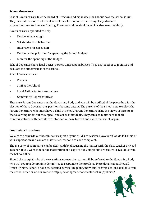## **School Governors**

School Governors are like the Board of Directors and make decisions about how the school is run. They meet at least once a term at school for a full committee meeting. They also have sub-committees for Finance, Staffing, Premises and Curriculum, which also meet regularly.

Governors are appointed to help:

- Decide what is taught
- Set standards of behaviour
- Interview and select staff
- Decide on the priorities for spending the School Budget
- Monitor the spending of the Budget.

School Governors have legal duties, powers and responsibilities. They act together to monitor and evaluate the effectiveness of the school.

School Governors are:

- Parents
- Staff at the School
- Local Authority Representatives
- Community Representatives

There are Parent Governors on the Governing Body and you will be notified of the procedure for the election of these Governors as positions become vacant. The parents of the school vote to select the Parent Governors, who must have a child at school. Parent Governors bring the views of parents to the Governing Body, but they speak and act as individuals. They can also make sure that all communications with parents are informative, easy to read and avoid the use of jargon.

#### **Complaints Procedure**

We aim to always do our best in every aspect of your child's education. However if we do fall short of your expectation and you are dissatisfied, respond to your complaint.

The majority of complaints can be dealt with by discussing the matter with the class teacher or Head Teacher. If you want to take the matter further a copy of our Complaints Procedure is available from the School Office.

Should the complaint be of a very serious nature, the matter will be referred to the Governing Body who will set up a Complaints Committee to respond to the problem. More details about Newall Green Primary School's policies, detailed curriculum plans, individual records etc., are available from the school office or on our website http://newallgreen.manchester.sch.uk/policies/